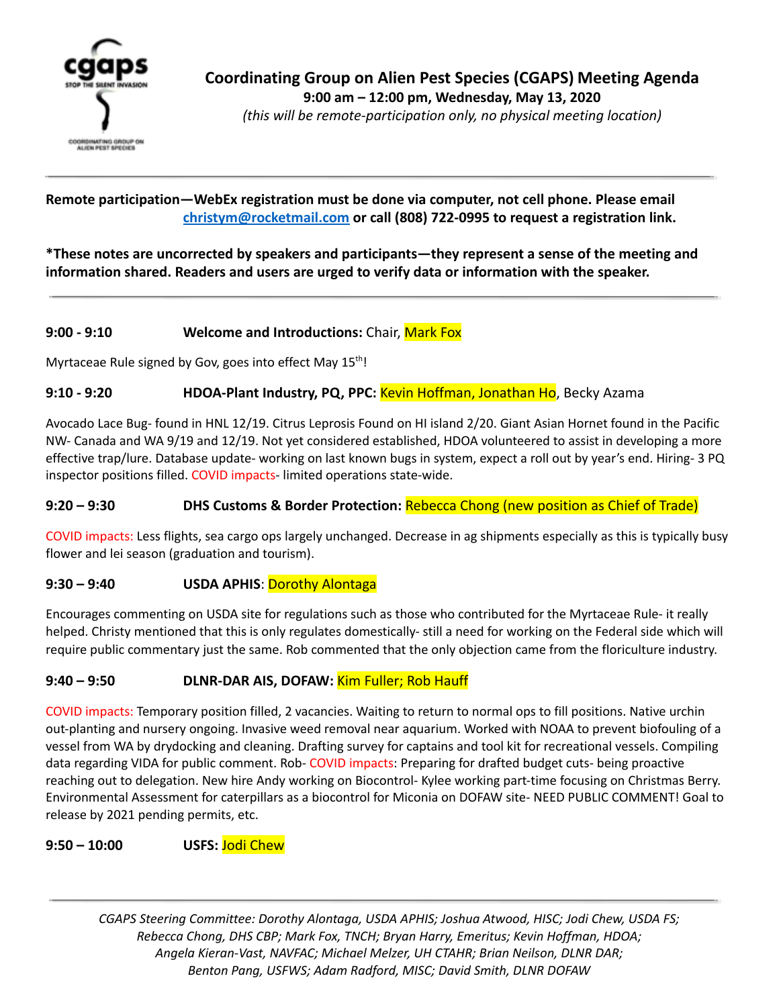

*(this will be remote-participation only, no physical meeting location)*

**Remote participation—WebEx registration must be done via computer, not cell phone. Please email [christym@rocketmail.com](mailto:christym@rocketmail.com) or call (808) 722-0995 to request a registration link.**

**\*These notes are uncorrected by speakers and participants—they represent a sense of the meeting and information shared. Readers and users are urged to verify data or information with the speaker.**

# **9:00 - 9:10 Welcome and Introductions:** Chair, Mark Fox

Myrtaceae Rule signed by Gov, goes into effect May 15<sup>th</sup>!

#### **9:10 - 9:20 HDOA-Plant Industry, PQ, PPC:** Kevin Hoffman, Jonathan Ho, Becky Azama

Avocado Lace Bug- found in HNL 12/19. Citrus Leprosis Found on HI island 2/20. Giant Asian Hornet found in the Pacific NW- Canada and WA 9/19 and 12/19. Not yet considered established, HDOA volunteered to assist in developing a more effective trap/lure. Database update- working on last known bugs in system, expect a roll out by year's end. Hiring- 3 PQ inspector positions filled. COVID impacts- limited operations state-wide.

#### **9:20 – 9:30 DHS Customs & Border Protection:** Rebecca Chong (new position as Chief of Trade)

COVID impacts: Less flights, sea cargo ops largely unchanged. Decrease in ag shipments especially as this is typically busy flower and lei season (graduation and tourism).

#### **9:30 – 9:40 USDA APHIS**: Dorothy Alontaga

Encourages commenting on USDA site for regulations such as those who contributed for the Myrtaceae Rule- it really helped. Christy mentioned that this is only regulates domestically- still a need for working on the Federal side which will require public commentary just the same. Rob commented that the only objection came from the floriculture industry.

### **9:40 – 9:50 DLNR-DAR AIS, DOFAW:** Kim Fuller; Rob Hauff

COVID impacts: Temporary position filled, 2 vacancies. Waiting to return to normal ops to fill positions. Native urchin out-planting and nursery ongoing. Invasive weed removal near aquarium. Worked with NOAA to prevent biofouling of a vessel from WA by drydocking and cleaning. Drafting survey for captains and tool kit for recreational vessels. Compiling data regarding VIDA for public comment. Rob- COVID impacts: Preparing for drafted budget cuts- being proactive reaching out to delegation. New hire Andy working on Biocontrol- Kylee working part-time focusing on Christmas Berry. Environmental Assessment for caterpillars as a biocontrol for Miconia on DOFAW site- NEED PUBLIC COMMENT! Goal to release by 2021 pending permits, etc.

#### **9:50 – 10:00 USFS:** Jodi Chew

*CGAPS Steering Committee: Dorothy Alontaga, USDA APHIS; Joshua Atwood, HISC; Jodi Chew, USDA FS; Rebecca Chong, DHS CBP; Mark Fox, TNCH; Bryan Harry, Emeritus; Kevin Hoffman, HDOA; Angela Kieran-Vast, NAVFAC; Michael Melzer, UH CTAHR; Brian Neilson, DLNR DAR; Benton Pang, USFWS; Adam Radford, MISC; David Smith, DLNR DOFAW*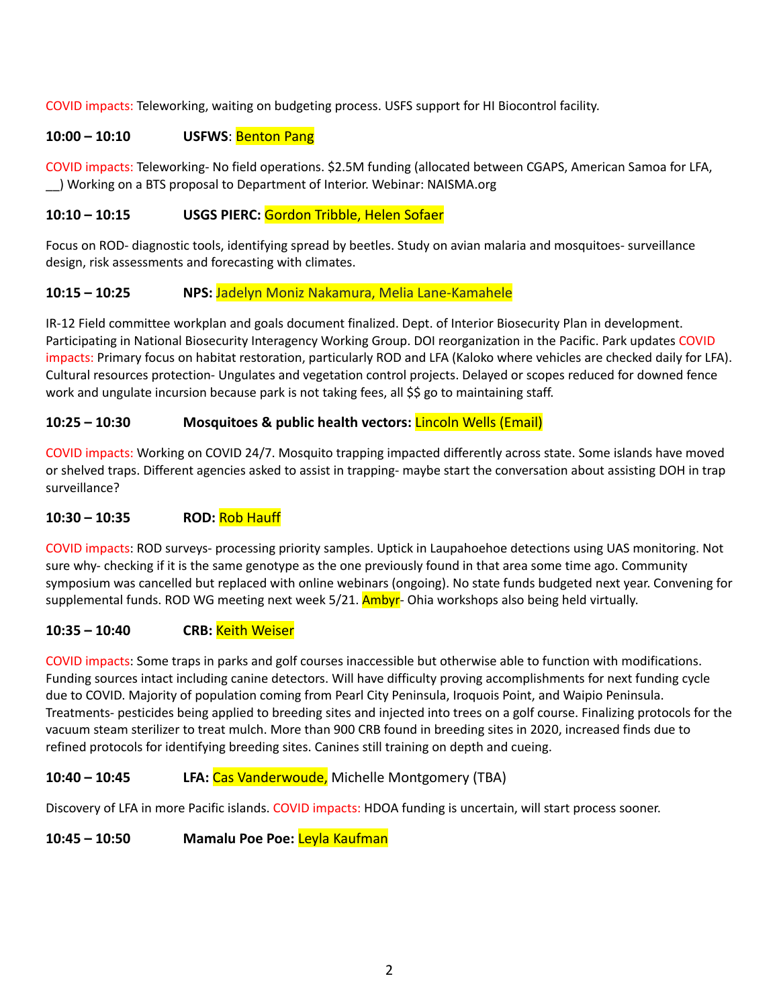COVID impacts: Teleworking, waiting on budgeting process. USFS support for HI Biocontrol facility.

### **10:00 – 10:10 USFWS**: Benton Pang

COVID impacts: Teleworking- No field operations. \$2.5M funding (allocated between CGAPS, American Samoa for LFA, \_\_) Working on a BTS proposal to Department of Interior. Webinar: NAISMA.org

## **10:10 – 10:15 USGS PIERC:** Gordon Tribble, Helen Sofaer

Focus on ROD- diagnostic tools, identifying spread by beetles. Study on avian malaria and mosquitoes- surveillance design, risk assessments and forecasting with climates.

### **10:15 – 10:25 NPS:** Jadelyn Moniz Nakamura, Melia Lane-Kamahele

IR-12 Field committee workplan and goals document finalized. Dept. of Interior Biosecurity Plan in development. Participating in National Biosecurity Interagency Working Group. DOI reorganization in the Pacific. Park updates COVID impacts: Primary focus on habitat restoration, particularly ROD and LFA (Kaloko where vehicles are checked daily for LFA). Cultural resources protection- Ungulates and vegetation control projects. Delayed or scopes reduced for downed fence work and ungulate incursion because park is not taking fees, all \$\$ go to maintaining staff.

### **10:25 – 10:30 Mosquitoes & public health vectors:** Lincoln Wells (Email)

COVID impacts: Working on COVID 24/7. Mosquito trapping impacted differently across state. Some islands have moved or shelved traps. Different agencies asked to assist in trapping- maybe start the conversation about assisting DOH in trap surveillance?

### **10:30 – 10:35 ROD:** Rob Hauff

COVID impacts: ROD surveys- processing priority samples. Uptick in Laupahoehoe detections using UAS monitoring. Not sure why- checking if it is the same genotype as the one previously found in that area some time ago. Community symposium was cancelled but replaced with online webinars (ongoing). No state funds budgeted next year. Convening for supplemental funds. ROD WG meeting next week 5/21. Ambyr- Ohia workshops also being held virtually.

# **10:35 – 10:40 CRB:** Keith Weiser

COVID impacts: Some traps in parks and golf courses inaccessible but otherwise able to function with modifications. Funding sources intact including canine detectors. Will have difficulty proving accomplishments for next funding cycle due to COVID. Majority of population coming from Pearl City Peninsula, Iroquois Point, and Waipio Peninsula. Treatments- pesticides being applied to breeding sites and injected into trees on a golf course. Finalizing protocols for the vacuum steam sterilizer to treat mulch. More than 900 CRB found in breeding sites in 2020, increased finds due to refined protocols for identifying breeding sites. Canines still training on depth and cueing.

### **10:40 – 10:45 LFA:** Cas Vanderwoude, Michelle Montgomery (TBA)

Discovery of LFA in more Pacific islands. COVID impacts: HDOA funding is uncertain, will start process sooner.

### **10:45 – 10:50 Mamalu Poe Poe:** Leyla Kaufman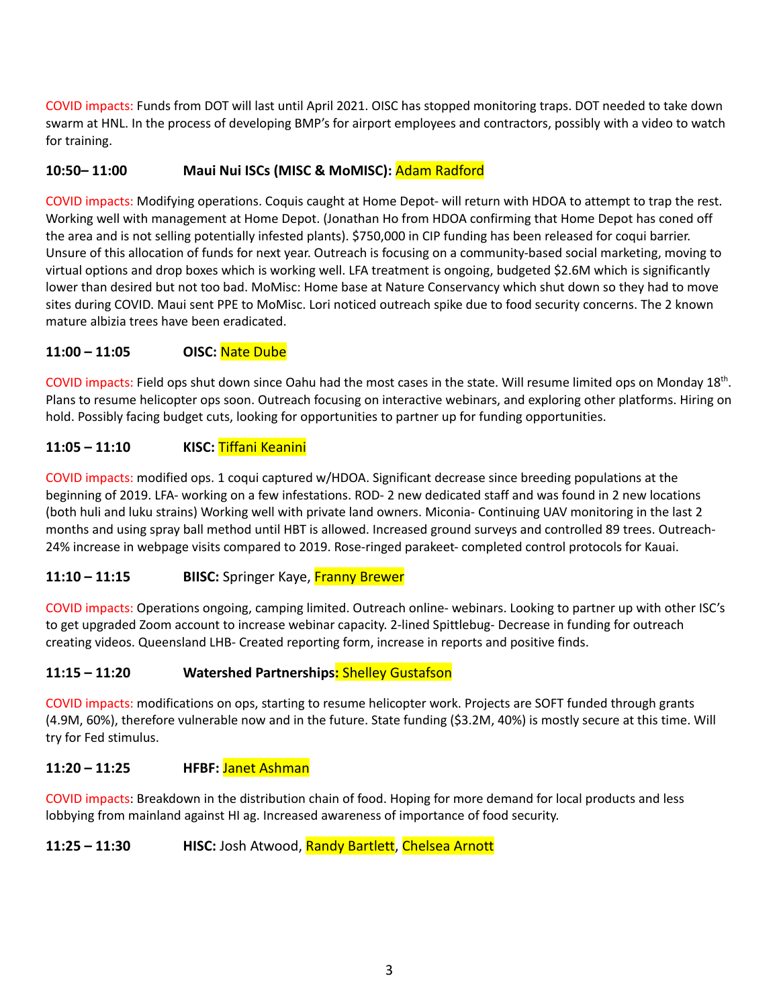COVID impacts: Funds from DOT will last until April 2021. OISC has stopped monitoring traps. DOT needed to take down swarm at HNL. In the process of developing BMP's for airport employees and contractors, possibly with a video to watch for training.

### **10:50– 11:00 Maui Nui ISCs (MISC & MoMISC):** Adam Radford

COVID impacts: Modifying operations. Coquis caught at Home Depot- will return with HDOA to attempt to trap the rest. Working well with management at Home Depot. (Jonathan Ho from HDOA confirming that Home Depot has coned off the area and is not selling potentially infested plants). \$750,000 in CIP funding has been released for coqui barrier. Unsure of this allocation of funds for next year. Outreach is focusing on a community-based social marketing, moving to virtual options and drop boxes which is working well. LFA treatment is ongoing, budgeted \$2.6M which is significantly lower than desired but not too bad. MoMisc: Home base at Nature Conservancy which shut down so they had to move sites during COVID. Maui sent PPE to MoMisc. Lori noticed outreach spike due to food security concerns. The 2 known mature albizia trees have been eradicated.

#### **11:00 – 11:05 OISC:** Nate Dube

COVID impacts: Field ops shut down since Oahu had the most cases in the state. Will resume limited ops on Monday 18<sup>th</sup>. Plans to resume helicopter ops soon. Outreach focusing on interactive webinars, and exploring other platforms. Hiring on hold. Possibly facing budget cuts, looking for opportunities to partner up for funding opportunities.

### **11:05 – 11:10 KISC:** Tiffani Keanini

COVID impacts: modified ops. 1 coqui captured w/HDOA. Significant decrease since breeding populations at the beginning of 2019. LFA- working on a few infestations. ROD- 2 new dedicated staff and was found in 2 new locations (both huli and luku strains) Working well with private land owners. Miconia- Continuing UAV monitoring in the last 2 months and using spray ball method until HBT is allowed. Increased ground surveys and controlled 89 trees. Outreach-24% increase in webpage visits compared to 2019. Rose-ringed parakeet- completed control protocols for Kauai.

### **11:10 – 11:15 BIISC:** Springer Kaye, Franny Brewer

COVID impacts: Operations ongoing, camping limited. Outreach online- webinars. Looking to partner up with other ISC's to get upgraded Zoom account to increase webinar capacity. 2-lined Spittlebug- Decrease in funding for outreach creating videos. Queensland LHB- Created reporting form, increase in reports and positive finds.

#### **11:15 – 11:20 Watershed Partnerships:** Shelley Gustafson

COVID impacts: modifications on ops, starting to resume helicopter work. Projects are SOFT funded through grants (4.9M, 60%), therefore vulnerable now and in the future. State funding (\$3.2M, 40%) is mostly secure at this time. Will try for Fed stimulus.

#### **11:20 – 11:25 HFBF:** Janet Ashman

COVID impacts: Breakdown in the distribution chain of food. Hoping for more demand for local products and less lobbying from mainland against HI ag. Increased awareness of importance of food security.

**11:25 – 11:30 HISC:** Josh Atwood, Randy Bartlett, Chelsea Arnott